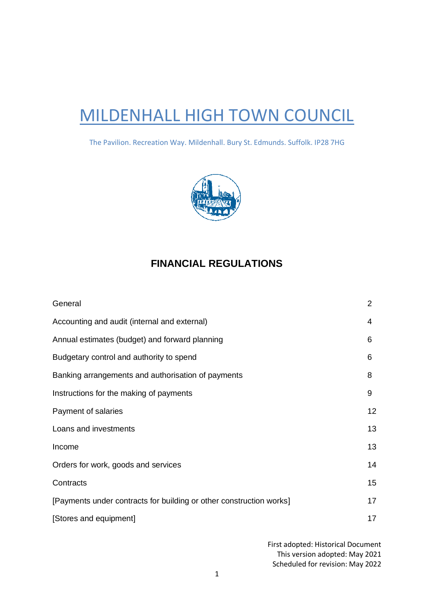# MILDENHALL HIGH TOWN COUNCIL

The Pavilion. Recreation Way. Mildenhall. Bury St. Edmunds. Suffolk. IP28 7HG



## **FINANCIAL REGULATIONS**

| General                                                             | $\overline{2}$ |
|---------------------------------------------------------------------|----------------|
| Accounting and audit (internal and external)                        | 4              |
| Annual estimates (budget) and forward planning                      | 6              |
| Budgetary control and authority to spend                            | 6              |
| Banking arrangements and authorisation of payments                  | 8              |
| Instructions for the making of payments                             | 9              |
| Payment of salaries                                                 | 12             |
| Loans and investments                                               | 13             |
| Income                                                              | 13             |
| Orders for work, goods and services                                 | 14             |
| Contracts                                                           | 15             |
| [Payments under contracts for building or other construction works] | 17             |
| [Stores and equipment]                                              | 17             |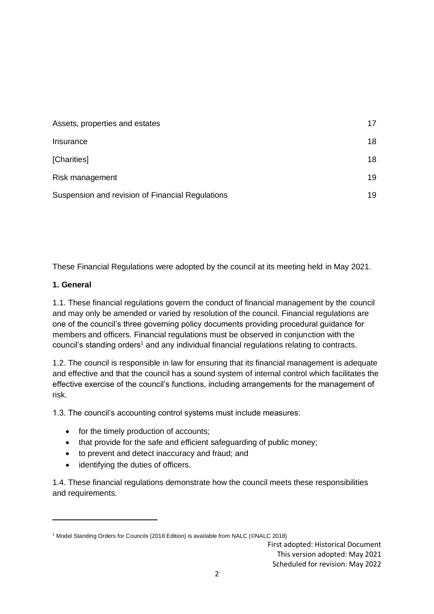| Assets, properties and estates                   | 17 |
|--------------------------------------------------|----|
| Insurance                                        | 18 |
| [Charities]                                      | 18 |
| Risk management                                  | 19 |
| Suspension and revision of Financial Regulations | 19 |

These Financial Regulations were adopted by the council at its meeting held in May 2021.

#### **1. General**

1.1. These financial regulations govern the conduct of financial management by the council and may only be amended or varied by resolution of the council. Financial regulations are one of the council's three governing policy documents providing procedural guidance for members and officers. Financial regulations must be observed in conjunction with the council's standing orders<sup>1</sup> and any individual financial regulations relating to contracts.

1.2. The council is responsible in law for ensuring that its financial management is adequate and effective and that the council has a sound system of internal control which facilitates the effective exercise of the council's functions, including arrangements for the management of risk.

1.3. The council's accounting control systems must include measures:

- for the timely production of accounts;
- that provide for the safe and efficient safeguarding of public money;
- to prevent and detect inaccuracy and fraud; and
- identifying the duties of officers.

1.4. These financial regulations demonstrate how the council meets these responsibilities and requirements.

<sup>1</sup> Model Standing Orders for Councils (2018 Edition) is available from NALC (©NALC 2018)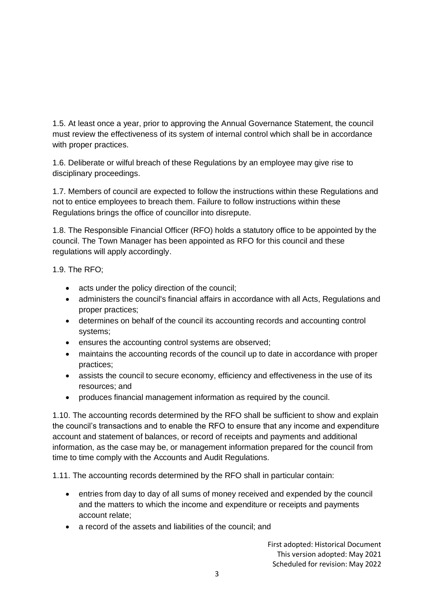1.5. At least once a year, prior to approving the Annual Governance Statement, the council must review the effectiveness of its system of internal control which shall be in accordance with proper practices.

1.6. Deliberate or wilful breach of these Regulations by an employee may give rise to disciplinary proceedings.

1.7. Members of council are expected to follow the instructions within these Regulations and not to entice employees to breach them. Failure to follow instructions within these Regulations brings the office of councillor into disrepute.

1.8. The Responsible Financial Officer (RFO) holds a statutory office to be appointed by the council. The Town Manager has been appointed as RFO for this council and these regulations will apply accordingly.

1.9. The RFO;

- acts under the policy direction of the council;
- administers the council's financial affairs in accordance with all Acts, Regulations and proper practices;
- determines on behalf of the council its accounting records and accounting control systems;
- ensures the accounting control systems are observed;
- maintains the accounting records of the council up to date in accordance with proper practices;
- assists the council to secure economy, efficiency and effectiveness in the use of its resources; and
- produces financial management information as required by the council.

1.10. The accounting records determined by the RFO shall be sufficient to show and explain the council's transactions and to enable the RFO to ensure that any income and expenditure account and statement of balances, or record of receipts and payments and additional information, as the case may be, or management information prepared for the council from time to time comply with the Accounts and Audit Regulations.

1.11. The accounting records determined by the RFO shall in particular contain:

- entries from day to day of all sums of money received and expended by the council and the matters to which the income and expenditure or receipts and payments account relate;
- a record of the assets and liabilities of the council; and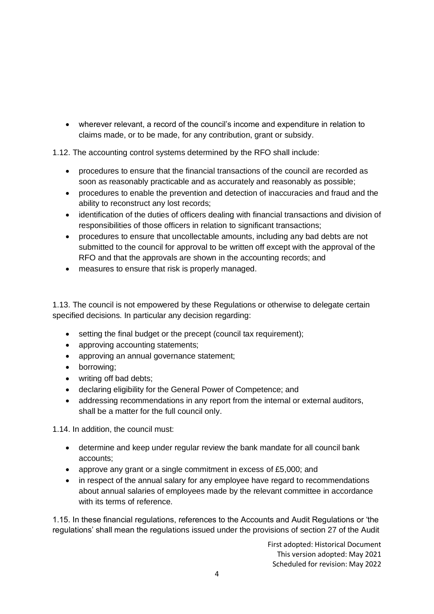• wherever relevant, a record of the council's income and expenditure in relation to claims made, or to be made, for any contribution, grant or subsidy.

1.12. The accounting control systems determined by the RFO shall include:

- procedures to ensure that the financial transactions of the council are recorded as soon as reasonably practicable and as accurately and reasonably as possible;
- procedures to enable the prevention and detection of inaccuracies and fraud and the ability to reconstruct any lost records;
- identification of the duties of officers dealing with financial transactions and division of responsibilities of those officers in relation to significant transactions;
- procedures to ensure that uncollectable amounts, including any bad debts are not submitted to the council for approval to be written off except with the approval of the RFO and that the approvals are shown in the accounting records; and
- measures to ensure that risk is properly managed.

1.13. The council is not empowered by these Regulations or otherwise to delegate certain specified decisions. In particular any decision regarding:

- setting the final budget or the precept (council tax requirement):
- approving accounting statements;
- approving an annual governance statement;
- borrowing;
- writing off bad debts;
- declaring eligibility for the General Power of Competence; and
- addressing recommendations in any report from the internal or external auditors, shall be a matter for the full council only.

1.14. In addition, the council must:

- determine and keep under regular review the bank mandate for all council bank accounts;
- approve any grant or a single commitment in excess of £5,000; and
- in respect of the annual salary for any employee have regard to recommendations about annual salaries of employees made by the relevant committee in accordance with its terms of reference.

1.15. In these financial regulations, references to the Accounts and Audit Regulations or 'the regulations' shall mean the regulations issued under the provisions of section 27 of the Audit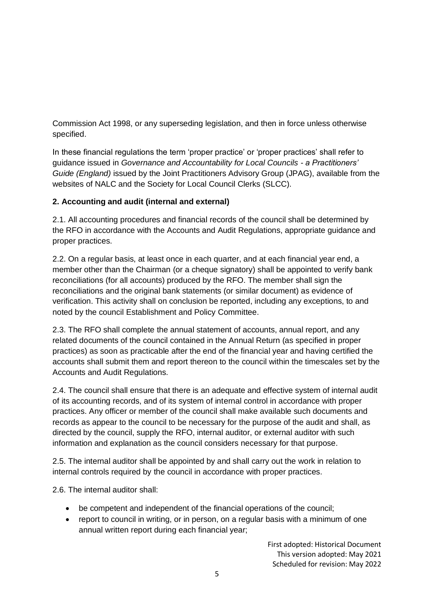Commission Act 1998, or any superseding legislation, and then in force unless otherwise specified.

In these financial regulations the term 'proper practice' or 'proper practices' shall refer to guidance issued in *Governance and Accountability for Local Councils - a Practitioners' Guide (England)* issued by the Joint Practitioners Advisory Group (JPAG), available from the websites of NALC and the Society for Local Council Clerks (SLCC).

## **2. Accounting and audit (internal and external)**

2.1. All accounting procedures and financial records of the council shall be determined by the RFO in accordance with the Accounts and Audit Regulations, appropriate guidance and proper practices.

2.2. On a regular basis, at least once in each quarter, and at each financial year end, a member other than the Chairman (or a cheque signatory) shall be appointed to verify bank reconciliations (for all accounts) produced by the RFO. The member shall sign the reconciliations and the original bank statements (or similar document) as evidence of verification. This activity shall on conclusion be reported, including any exceptions, to and noted by the council Establishment and Policy Committee.

2.3. The RFO shall complete the annual statement of accounts, annual report, and any related documents of the council contained in the Annual Return (as specified in proper practices) as soon as practicable after the end of the financial year and having certified the accounts shall submit them and report thereon to the council within the timescales set by the Accounts and Audit Regulations.

2.4. The council shall ensure that there is an adequate and effective system of internal audit of its accounting records, and of its system of internal control in accordance with proper practices. Any officer or member of the council shall make available such documents and records as appear to the council to be necessary for the purpose of the audit and shall, as directed by the council, supply the RFO, internal auditor, or external auditor with such information and explanation as the council considers necessary for that purpose.

2.5. The internal auditor shall be appointed by and shall carry out the work in relation to internal controls required by the council in accordance with proper practices.

2.6. The internal auditor shall:

- be competent and independent of the financial operations of the council;
- report to council in writing, or in person, on a regular basis with a minimum of one annual written report during each financial year;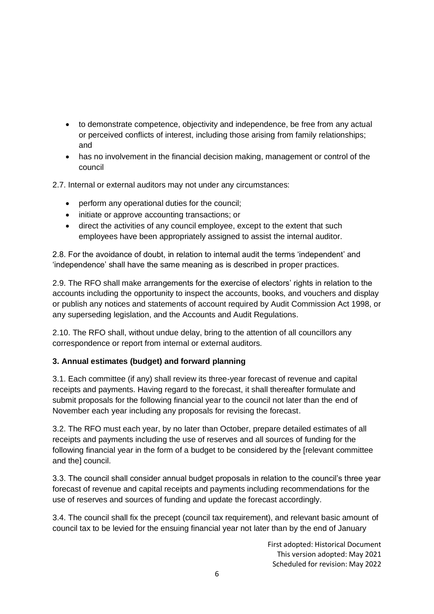- to demonstrate competence, objectivity and independence, be free from any actual or perceived conflicts of interest, including those arising from family relationships; and
- has no involvement in the financial decision making, management or control of the council

2.7. Internal or external auditors may not under any circumstances:

- perform any operational duties for the council;
- initiate or approve accounting transactions; or
- direct the activities of any council employee, except to the extent that such employees have been appropriately assigned to assist the internal auditor.

2.8. For the avoidance of doubt, in relation to internal audit the terms 'independent' and 'independence' shall have the same meaning as is described in proper practices.

2.9. The RFO shall make arrangements for the exercise of electors' rights in relation to the accounts including the opportunity to inspect the accounts, books, and vouchers and display or publish any notices and statements of account required by Audit Commission Act 1998, or any superseding legislation, and the Accounts and Audit Regulations.

2.10. The RFO shall, without undue delay, bring to the attention of all councillors any correspondence or report from internal or external auditors.

## **3. Annual estimates (budget) and forward planning**

3.1. Each committee (if any) shall review its three-year forecast of revenue and capital receipts and payments. Having regard to the forecast, it shall thereafter formulate and submit proposals for the following financial year to the council not later than the end of November each year including any proposals for revising the forecast.

3.2. The RFO must each year, by no later than October, prepare detailed estimates of all receipts and payments including the use of reserves and all sources of funding for the following financial year in the form of a budget to be considered by the [relevant committee and the] council.

3.3. The council shall consider annual budget proposals in relation to the council's three year forecast of revenue and capital receipts and payments including recommendations for the use of reserves and sources of funding and update the forecast accordingly.

3.4. The council shall fix the precept (council tax requirement), and relevant basic amount of council tax to be levied for the ensuing financial year not later than by the end of January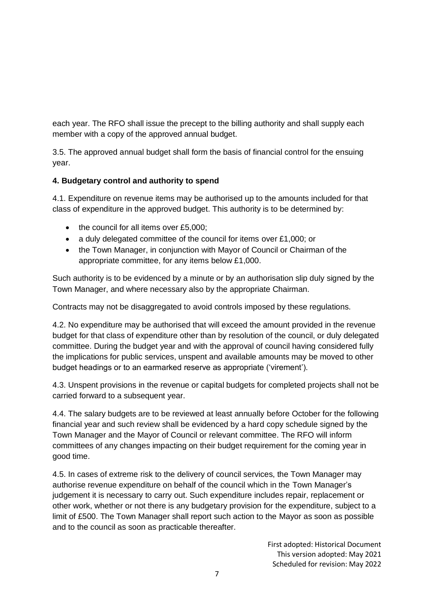each year. The RFO shall issue the precept to the billing authority and shall supply each member with a copy of the approved annual budget.

3.5. The approved annual budget shall form the basis of financial control for the ensuing year.

## **4. Budgetary control and authority to spend**

4.1. Expenditure on revenue items may be authorised up to the amounts included for that class of expenditure in the approved budget. This authority is to be determined by:

- the council for all items over £5,000:
- a duly delegated committee of the council for items over £1,000; or
- the Town Manager, in conjunction with Mayor of Council or Chairman of the appropriate committee, for any items below £1,000.

Such authority is to be evidenced by a minute or by an authorisation slip duly signed by the Town Manager, and where necessary also by the appropriate Chairman.

Contracts may not be disaggregated to avoid controls imposed by these regulations.

4.2. No expenditure may be authorised that will exceed the amount provided in the revenue budget for that class of expenditure other than by resolution of the council, or duly delegated committee. During the budget year and with the approval of council having considered fully the implications for public services, unspent and available amounts may be moved to other budget headings or to an earmarked reserve as appropriate ('virement').

4.3. Unspent provisions in the revenue or capital budgets for completed projects shall not be carried forward to a subsequent year.

4.4. The salary budgets are to be reviewed at least annually before October for the following financial year and such review shall be evidenced by a hard copy schedule signed by the Town Manager and the Mayor of Council or relevant committee. The RFO will inform committees of any changes impacting on their budget requirement for the coming year in good time.

4.5. In cases of extreme risk to the delivery of council services, the Town Manager may authorise revenue expenditure on behalf of the council which in the Town Manager's judgement it is necessary to carry out. Such expenditure includes repair, replacement or other work, whether or not there is any budgetary provision for the expenditure, subject to a limit of £500. The Town Manager shall report such action to the Mayor as soon as possible and to the council as soon as practicable thereafter.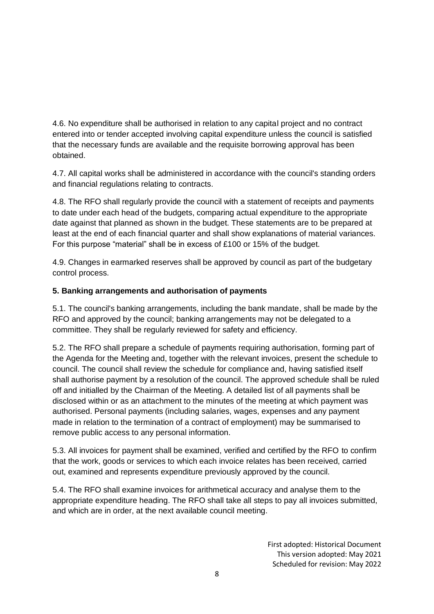4.6. No expenditure shall be authorised in relation to any capital project and no contract entered into or tender accepted involving capital expenditure unless the council is satisfied that the necessary funds are available and the requisite borrowing approval has been obtained.

4.7. All capital works shall be administered in accordance with the council's standing orders and financial regulations relating to contracts.

4.8. The RFO shall regularly provide the council with a statement of receipts and payments to date under each head of the budgets, comparing actual expenditure to the appropriate date against that planned as shown in the budget. These statements are to be prepared at least at the end of each financial quarter and shall show explanations of material variances. For this purpose "material" shall be in excess of £100 or 15% of the budget.

4.9. Changes in earmarked reserves shall be approved by council as part of the budgetary control process.

## **5. Banking arrangements and authorisation of payments**

5.1. The council's banking arrangements, including the bank mandate, shall be made by the RFO and approved by the council; banking arrangements may not be delegated to a committee. They shall be regularly reviewed for safety and efficiency.

5.2. The RFO shall prepare a schedule of payments requiring authorisation, forming part of the Agenda for the Meeting and, together with the relevant invoices, present the schedule to council. The council shall review the schedule for compliance and, having satisfied itself shall authorise payment by a resolution of the council. The approved schedule shall be ruled off and initialled by the Chairman of the Meeting. A detailed list of all payments shall be disclosed within or as an attachment to the minutes of the meeting at which payment was authorised. Personal payments (including salaries, wages, expenses and any payment made in relation to the termination of a contract of employment) may be summarised to remove public access to any personal information.

5.3. All invoices for payment shall be examined, verified and certified by the RFO to confirm that the work, goods or services to which each invoice relates has been received, carried out, examined and represents expenditure previously approved by the council.

5.4. The RFO shall examine invoices for arithmetical accuracy and analyse them to the appropriate expenditure heading. The RFO shall take all steps to pay all invoices submitted, and which are in order, at the next available council meeting.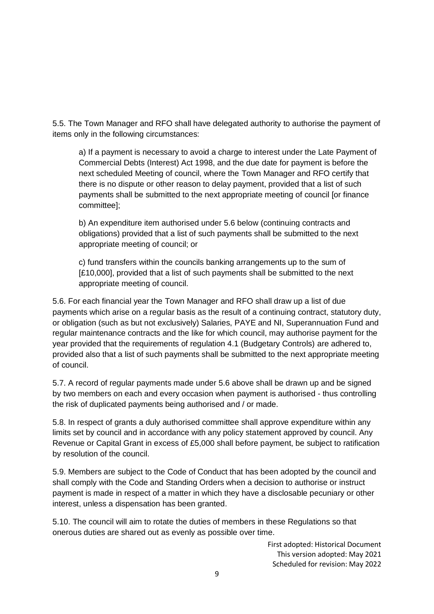5.5. The Town Manager and RFO shall have delegated authority to authorise the payment of items only in the following circumstances:

a) If a payment is necessary to avoid a charge to interest under the Late Payment of Commercial Debts (Interest) Act 1998, and the due date for payment is before the next scheduled Meeting of council, where the Town Manager and RFO certify that there is no dispute or other reason to delay payment, provided that a list of such payments shall be submitted to the next appropriate meeting of council [or finance committee];

b) An expenditure item authorised under 5.6 below (continuing contracts and obligations) provided that a list of such payments shall be submitted to the next appropriate meeting of council; or

c) fund transfers within the councils banking arrangements up to the sum of [£10,000], provided that a list of such payments shall be submitted to the next appropriate meeting of council.

5.6. For each financial year the Town Manager and RFO shall draw up a list of due payments which arise on a regular basis as the result of a continuing contract, statutory duty, or obligation (such as but not exclusively) Salaries, PAYE and NI, Superannuation Fund and regular maintenance contracts and the like for which council, may authorise payment for the year provided that the requirements of regulation 4.1 (Budgetary Controls) are adhered to, provided also that a list of such payments shall be submitted to the next appropriate meeting of council.

5.7. A record of regular payments made under 5.6 above shall be drawn up and be signed by two members on each and every occasion when payment is authorised - thus controlling the risk of duplicated payments being authorised and / or made.

5.8. In respect of grants a duly authorised committee shall approve expenditure within any limits set by council and in accordance with any policy statement approved by council. Any Revenue or Capital Grant in excess of £5,000 shall before payment, be subject to ratification by resolution of the council.

5.9. Members are subject to the Code of Conduct that has been adopted by the council and shall comply with the Code and Standing Orders when a decision to authorise or instruct payment is made in respect of a matter in which they have a disclosable pecuniary or other interest, unless a dispensation has been granted.

5.10. The council will aim to rotate the duties of members in these Regulations so that onerous duties are shared out as evenly as possible over time.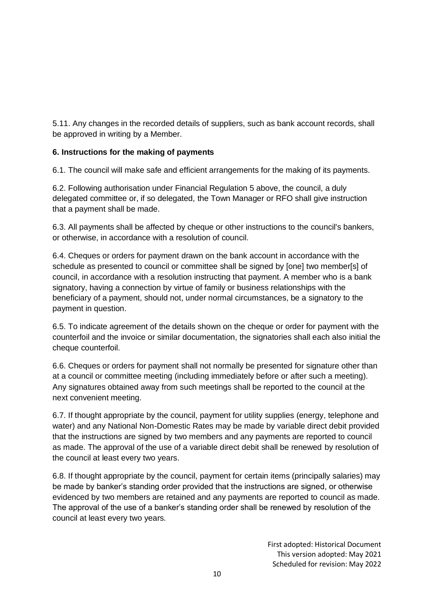5.11. Any changes in the recorded details of suppliers, such as bank account records, shall be approved in writing by a Member.

## **6. Instructions for the making of payments**

6.1. The council will make safe and efficient arrangements for the making of its payments.

6.2. Following authorisation under Financial Regulation 5 above, the council, a duly delegated committee or, if so delegated, the Town Manager or RFO shall give instruction that a payment shall be made.

6.3. All payments shall be affected by cheque or other instructions to the council's bankers, or otherwise, in accordance with a resolution of council.

6.4. Cheques or orders for payment drawn on the bank account in accordance with the schedule as presented to council or committee shall be signed by [one] two member[s] of council, in accordance with a resolution instructing that payment. A member who is a bank signatory, having a connection by virtue of family or business relationships with the beneficiary of a payment, should not, under normal circumstances, be a signatory to the payment in question.

6.5. To indicate agreement of the details shown on the cheque or order for payment with the counterfoil and the invoice or similar documentation, the signatories shall each also initial the cheque counterfoil.

6.6. Cheques or orders for payment shall not normally be presented for signature other than at a council or committee meeting (including immediately before or after such a meeting). Any signatures obtained away from such meetings shall be reported to the council at the next convenient meeting.

6.7. If thought appropriate by the council, payment for utility supplies (energy, telephone and water) and any National Non-Domestic Rates may be made by variable direct debit provided that the instructions are signed by two members and any payments are reported to council as made. The approval of the use of a variable direct debit shall be renewed by resolution of the council at least every two years.

6.8. If thought appropriate by the council, payment for certain items (principally salaries) may be made by banker's standing order provided that the instructions are signed, or otherwise evidenced by two members are retained and any payments are reported to council as made. The approval of the use of a banker's standing order shall be renewed by resolution of the council at least every two years.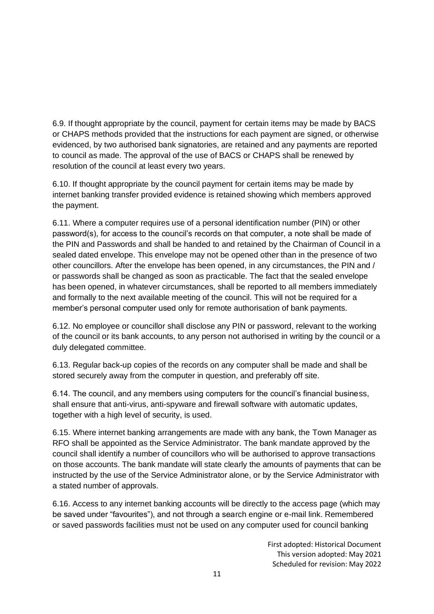6.9. If thought appropriate by the council, payment for certain items may be made by BACS or CHAPS methods provided that the instructions for each payment are signed, or otherwise evidenced, by two authorised bank signatories, are retained and any payments are reported to council as made. The approval of the use of BACS or CHAPS shall be renewed by resolution of the council at least every two years.

6.10. If thought appropriate by the council payment for certain items may be made by internet banking transfer provided evidence is retained showing which members approved the payment.

6.11. Where a computer requires use of a personal identification number (PIN) or other password(s), for access to the council's records on that computer, a note shall be made of the PIN and Passwords and shall be handed to and retained by the Chairman of Council in a sealed dated envelope. This envelope may not be opened other than in the presence of two other councillors. After the envelope has been opened, in any circumstances, the PIN and / or passwords shall be changed as soon as practicable. The fact that the sealed envelope has been opened, in whatever circumstances, shall be reported to all members immediately and formally to the next available meeting of the council. This will not be required for a member's personal computer used only for remote authorisation of bank payments.

6.12. No employee or councillor shall disclose any PIN or password, relevant to the working of the council or its bank accounts, to any person not authorised in writing by the council or a duly delegated committee.

6.13. Regular back-up copies of the records on any computer shall be made and shall be stored securely away from the computer in question, and preferably off site.

6.14. The council, and any members using computers for the council's financial business, shall ensure that anti-virus, anti-spyware and firewall software with automatic updates, together with a high level of security, is used.

6.15. Where internet banking arrangements are made with any bank, the Town Manager as RFO shall be appointed as the Service Administrator. The bank mandate approved by the council shall identify a number of councillors who will be authorised to approve transactions on those accounts. The bank mandate will state clearly the amounts of payments that can be instructed by the use of the Service Administrator alone, or by the Service Administrator with a stated number of approvals.

6.16. Access to any internet banking accounts will be directly to the access page (which may be saved under "favourites"), and not through a search engine or e-mail link. Remembered or saved passwords facilities must not be used on any computer used for council banking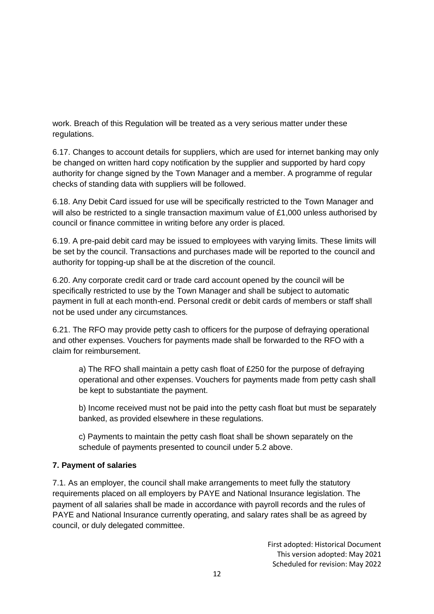work. Breach of this Regulation will be treated as a very serious matter under these regulations.

6.17. Changes to account details for suppliers, which are used for internet banking may only be changed on written hard copy notification by the supplier and supported by hard copy authority for change signed by the Town Manager and a member. A programme of regular checks of standing data with suppliers will be followed.

6.18. Any Debit Card issued for use will be specifically restricted to the Town Manager and will also be restricted to a single transaction maximum value of £1,000 unless authorised by council or finance committee in writing before any order is placed.

6.19. A pre-paid debit card may be issued to employees with varying limits. These limits will be set by the council. Transactions and purchases made will be reported to the council and authority for topping-up shall be at the discretion of the council.

6.20. Any corporate credit card or trade card account opened by the council will be specifically restricted to use by the Town Manager and shall be subject to automatic payment in full at each month-end. Personal credit or debit cards of members or staff shall not be used under any circumstances.

6.21. The RFO may provide petty cash to officers for the purpose of defraying operational and other expenses. Vouchers for payments made shall be forwarded to the RFO with a claim for reimbursement.

a) The RFO shall maintain a petty cash float of £250 for the purpose of defraying operational and other expenses. Vouchers for payments made from petty cash shall be kept to substantiate the payment.

b) Income received must not be paid into the petty cash float but must be separately banked, as provided elsewhere in these regulations.

c) Payments to maintain the petty cash float shall be shown separately on the schedule of payments presented to council under 5.2 above.

## **7. Payment of salaries**

7.1. As an employer, the council shall make arrangements to meet fully the statutory requirements placed on all employers by PAYE and National Insurance legislation. The payment of all salaries shall be made in accordance with payroll records and the rules of PAYE and National Insurance currently operating, and salary rates shall be as agreed by council, or duly delegated committee.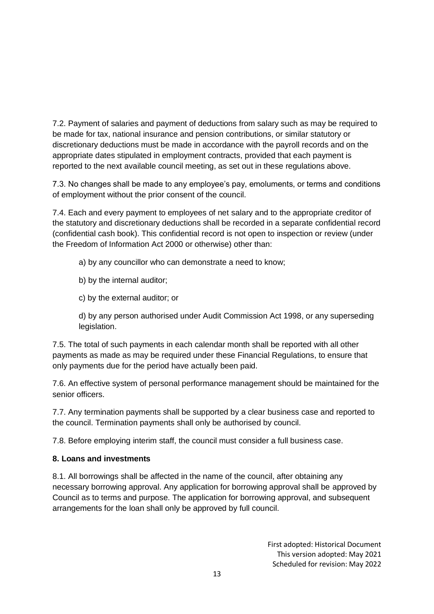7.2. Payment of salaries and payment of deductions from salary such as may be required to be made for tax, national insurance and pension contributions, or similar statutory or discretionary deductions must be made in accordance with the payroll records and on the appropriate dates stipulated in employment contracts, provided that each payment is reported to the next available council meeting, as set out in these regulations above.

7.3. No changes shall be made to any employee's pay, emoluments, or terms and conditions of employment without the prior consent of the council.

7.4. Each and every payment to employees of net salary and to the appropriate creditor of the statutory and discretionary deductions shall be recorded in a separate confidential record (confidential cash book). This confidential record is not open to inspection or review (under the Freedom of Information Act 2000 or otherwise) other than:

- a) by any councillor who can demonstrate a need to know;
- b) by the internal auditor;
- c) by the external auditor; or

d) by any person authorised under Audit Commission Act 1998, or any superseding legislation.

7.5. The total of such payments in each calendar month shall be reported with all other payments as made as may be required under these Financial Regulations, to ensure that only payments due for the period have actually been paid.

7.6. An effective system of personal performance management should be maintained for the senior officers.

7.7. Any termination payments shall be supported by a clear business case and reported to the council. Termination payments shall only be authorised by council.

7.8. Before employing interim staff, the council must consider a full business case.

## **8. Loans and investments**

8.1. All borrowings shall be affected in the name of the council, after obtaining any necessary borrowing approval. Any application for borrowing approval shall be approved by Council as to terms and purpose. The application for borrowing approval, and subsequent arrangements for the loan shall only be approved by full council.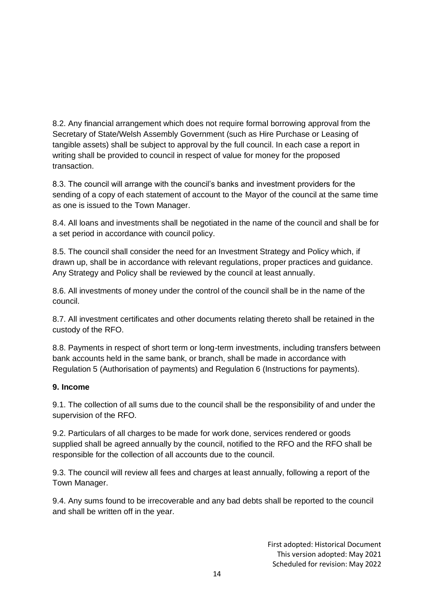8.2. Any financial arrangement which does not require formal borrowing approval from the Secretary of State/Welsh Assembly Government (such as Hire Purchase or Leasing of tangible assets) shall be subject to approval by the full council. In each case a report in writing shall be provided to council in respect of value for money for the proposed transaction.

8.3. The council will arrange with the council's banks and investment providers for the sending of a copy of each statement of account to the Mayor of the council at the same time as one is issued to the Town Manager.

8.4. All loans and investments shall be negotiated in the name of the council and shall be for a set period in accordance with council policy.

8.5. The council shall consider the need for an Investment Strategy and Policy which, if drawn up, shall be in accordance with relevant regulations, proper practices and guidance. Any Strategy and Policy shall be reviewed by the council at least annually.

8.6. All investments of money under the control of the council shall be in the name of the council.

8.7. All investment certificates and other documents relating thereto shall be retained in the custody of the RFO.

8.8. Payments in respect of short term or long-term investments, including transfers between bank accounts held in the same bank, or branch, shall be made in accordance with Regulation 5 (Authorisation of payments) and Regulation 6 (Instructions for payments).

#### **9. Income**

9.1. The collection of all sums due to the council shall be the responsibility of and under the supervision of the RFO.

9.2. Particulars of all charges to be made for work done, services rendered or goods supplied shall be agreed annually by the council, notified to the RFO and the RFO shall be responsible for the collection of all accounts due to the council.

9.3. The council will review all fees and charges at least annually, following a report of the Town Manager.

9.4. Any sums found to be irrecoverable and any bad debts shall be reported to the council and shall be written off in the year.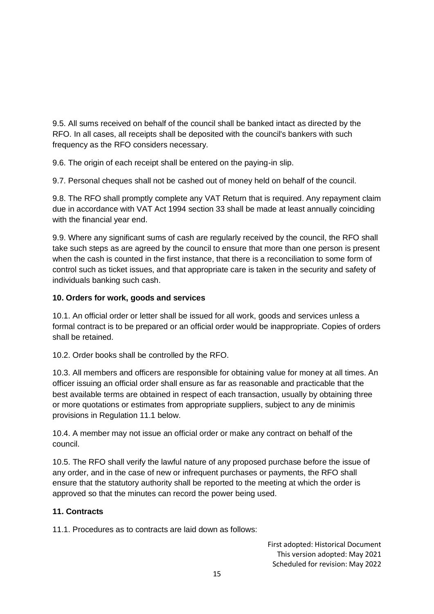9.5. All sums received on behalf of the council shall be banked intact as directed by the RFO. In all cases, all receipts shall be deposited with the council's bankers with such frequency as the RFO considers necessary.

9.6. The origin of each receipt shall be entered on the paying-in slip.

9.7. Personal cheques shall not be cashed out of money held on behalf of the council.

9.8. The RFO shall promptly complete any VAT Return that is required. Any repayment claim due in accordance with VAT Act 1994 section 33 shall be made at least annually coinciding with the financial year end.

9.9. Where any significant sums of cash are regularly received by the council, the RFO shall take such steps as are agreed by the council to ensure that more than one person is present when the cash is counted in the first instance, that there is a reconciliation to some form of control such as ticket issues, and that appropriate care is taken in the security and safety of individuals banking such cash.

## **10. Orders for work, goods and services**

10.1. An official order or letter shall be issued for all work, goods and services unless a formal contract is to be prepared or an official order would be inappropriate. Copies of orders shall be retained.

10.2. Order books shall be controlled by the RFO.

10.3. All members and officers are responsible for obtaining value for money at all times. An officer issuing an official order shall ensure as far as reasonable and practicable that the best available terms are obtained in respect of each transaction, usually by obtaining three or more quotations or estimates from appropriate suppliers, subject to any de minimis provisions in Regulation 11.1 below.

10.4. A member may not issue an official order or make any contract on behalf of the council.

10.5. The RFO shall verify the lawful nature of any proposed purchase before the issue of any order, and in the case of new or infrequent purchases or payments, the RFO shall ensure that the statutory authority shall be reported to the meeting at which the order is approved so that the minutes can record the power being used.

## **11. Contracts**

11.1. Procedures as to contracts are laid down as follows: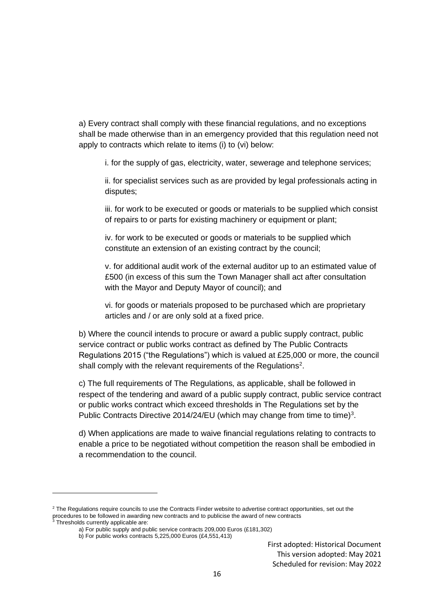a) Every contract shall comply with these financial regulations, and no exceptions shall be made otherwise than in an emergency provided that this regulation need not apply to contracts which relate to items (i) to (vi) below:

i. for the supply of gas, electricity, water, sewerage and telephone services;

ii. for specialist services such as are provided by legal professionals acting in disputes;

iii. for work to be executed or goods or materials to be supplied which consist of repairs to or parts for existing machinery or equipment or plant;

iv. for work to be executed or goods or materials to be supplied which constitute an extension of an existing contract by the council;

v. for additional audit work of the external auditor up to an estimated value of £500 (in excess of this sum the Town Manager shall act after consultation with the Mayor and Deputy Mayor of council); and

vi. for goods or materials proposed to be purchased which are proprietary articles and / or are only sold at a fixed price.

b) Where the council intends to procure or award a public supply contract, public service contract or public works contract as defined by The Public Contracts Regulations 2015 ("the Regulations") which is valued at £25,000 or more, the council shall comply with the relevant requirements of the Regulations<sup>2</sup>.

c) The full requirements of The Regulations, as applicable, shall be followed in respect of the tendering and award of a public supply contract, public service contract or public works contract which exceed thresholds in The Regulations set by the Public Contracts Directive 2014/24/EU (which may change from time to time)<sup>3</sup>.

d) When applications are made to waive financial regulations relating to contracts to enable a price to be negotiated without competition the reason shall be embodied in a recommendation to the council.

<sup>&</sup>lt;sup>2</sup> The Regulations require councils to use the Contracts Finder website to advertise contract opportunities, set out the procedures to be followed in awarding new contracts and to publicise the award of new contracts  $3$  Thresholds currently applicable are:

a) For public supply and public service contracts 209,000 Euros (£181,302)

b) For public works contracts 5,225,000 Euros (£4,551,413)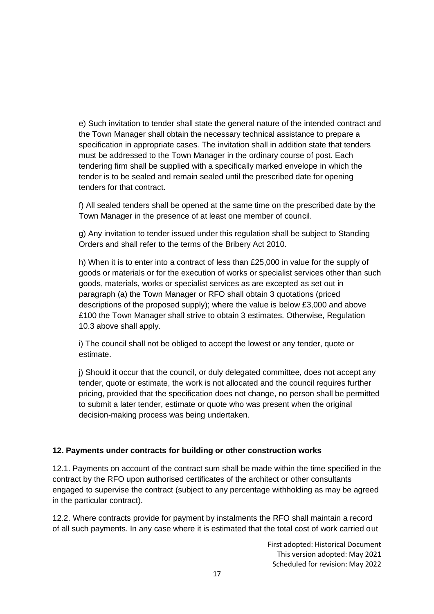e) Such invitation to tender shall state the general nature of the intended contract and the Town Manager shall obtain the necessary technical assistance to prepare a specification in appropriate cases. The invitation shall in addition state that tenders must be addressed to the Town Manager in the ordinary course of post. Each tendering firm shall be supplied with a specifically marked envelope in which the tender is to be sealed and remain sealed until the prescribed date for opening tenders for that contract.

f) All sealed tenders shall be opened at the same time on the prescribed date by the Town Manager in the presence of at least one member of council.

g) Any invitation to tender issued under this regulation shall be subject to Standing Orders and shall refer to the terms of the Bribery Act 2010.

h) When it is to enter into a contract of less than £25,000 in value for the supply of goods or materials or for the execution of works or specialist services other than such goods, materials, works or specialist services as are excepted as set out in paragraph (a) the Town Manager or RFO shall obtain 3 quotations (priced descriptions of the proposed supply); where the value is below £3,000 and above £100 the Town Manager shall strive to obtain 3 estimates. Otherwise, Regulation 10.3 above shall apply.

i) The council shall not be obliged to accept the lowest or any tender, quote or estimate.

j) Should it occur that the council, or duly delegated committee, does not accept any tender, quote or estimate, the work is not allocated and the council requires further pricing, provided that the specification does not change, no person shall be permitted to submit a later tender, estimate or quote who was present when the original decision-making process was being undertaken.

## **12. Payments under contracts for building or other construction works**

12.1. Payments on account of the contract sum shall be made within the time specified in the contract by the RFO upon authorised certificates of the architect or other consultants engaged to supervise the contract (subject to any percentage withholding as may be agreed in the particular contract).

12.2. Where contracts provide for payment by instalments the RFO shall maintain a record of all such payments. In any case where it is estimated that the total cost of work carried out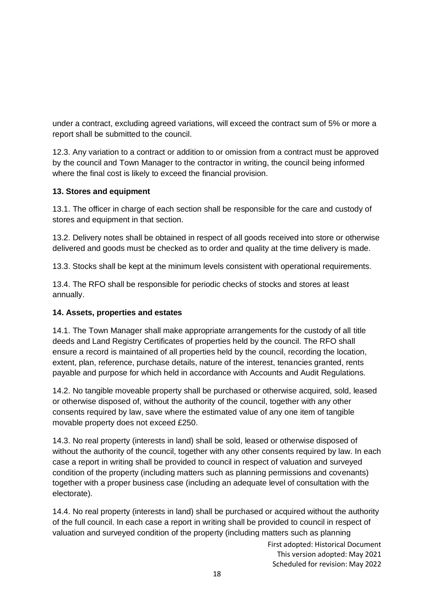under a contract, excluding agreed variations, will exceed the contract sum of 5% or more a report shall be submitted to the council.

12.3. Any variation to a contract or addition to or omission from a contract must be approved by the council and Town Manager to the contractor in writing, the council being informed where the final cost is likely to exceed the financial provision.

## **13. Stores and equipment**

13.1. The officer in charge of each section shall be responsible for the care and custody of stores and equipment in that section.

13.2. Delivery notes shall be obtained in respect of all goods received into store or otherwise delivered and goods must be checked as to order and quality at the time delivery is made.

13.3. Stocks shall be kept at the minimum levels consistent with operational requirements.

13.4. The RFO shall be responsible for periodic checks of stocks and stores at least annually.

## **14. Assets, properties and estates**

14.1. The Town Manager shall make appropriate arrangements for the custody of all title deeds and Land Registry Certificates of properties held by the council. The RFO shall ensure a record is maintained of all properties held by the council, recording the location, extent, plan, reference, purchase details, nature of the interest, tenancies granted, rents payable and purpose for which held in accordance with Accounts and Audit Regulations.

14.2. No tangible moveable property shall be purchased or otherwise acquired, sold, leased or otherwise disposed of, without the authority of the council, together with any other consents required by law, save where the estimated value of any one item of tangible movable property does not exceed £250.

14.3. No real property (interests in land) shall be sold, leased or otherwise disposed of without the authority of the council, together with any other consents required by law. In each case a report in writing shall be provided to council in respect of valuation and surveyed condition of the property (including matters such as planning permissions and covenants) together with a proper business case (including an adequate level of consultation with the electorate).

14.4. No real property (interests in land) shall be purchased or acquired without the authority of the full council. In each case a report in writing shall be provided to council in respect of valuation and surveyed condition of the property (including matters such as planning

First adopted: Historical Document This version adopted: May 2021

Scheduled for revision: May 2022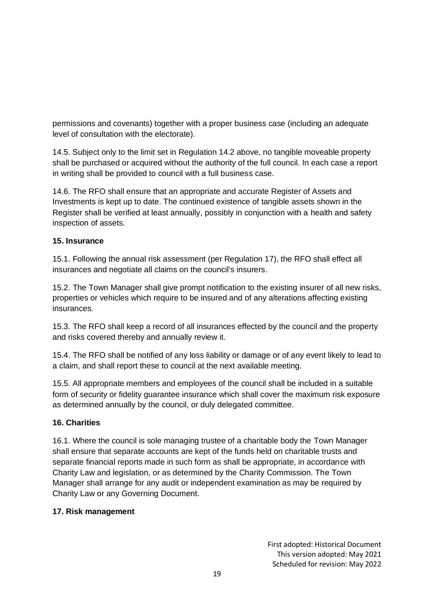permissions and covenants) together with a proper business case (including an adequate level of consultation with the electorate).

14.5. Subject only to the limit set in Regulation 14.2 above, no tangible moveable property shall be purchased or acquired without the authority of the full council. In each case a report in writing shall be provided to council with a full business case.

14.6. The RFO shall ensure that an appropriate and accurate Register of Assets and Investments is kept up to date. The continued existence of tangible assets shown in the Register shall be verified at least annually, possibly in conjunction with a health and safety inspection of assets.

## **15. Insurance**

15.1. Following the annual risk assessment (per Regulation 17), the RFO shall effect all insurances and negotiate all claims on the council's insurers.

15.2. The Town Manager shall give prompt notification to the existing insurer of all new risks, properties or vehicles which require to be insured and of any alterations affecting existing insurances.

15.3. The RFO shall keep a record of all insurances effected by the council and the property and risks covered thereby and annually review it.

15.4. The RFO shall be notified of any loss liability or damage or of any event likely to lead to a claim, and shall report these to council at the next available meeting.

15.5. All appropriate members and employees of the council shall be included in a suitable form of security or fidelity guarantee insurance which shall cover the maximum risk exposure as determined annually by the council, or duly delegated committee.

## **16. Charities**

16.1. Where the council is sole managing trustee of a charitable body the Town Manager shall ensure that separate accounts are kept of the funds held on charitable trusts and separate financial reports made in such form as shall be appropriate, in accordance with Charity Law and legislation, or as determined by the Charity Commission. The Town Manager shall arrange for any audit or independent examination as may be required by Charity Law or any Governing Document.

## **17. Risk management**